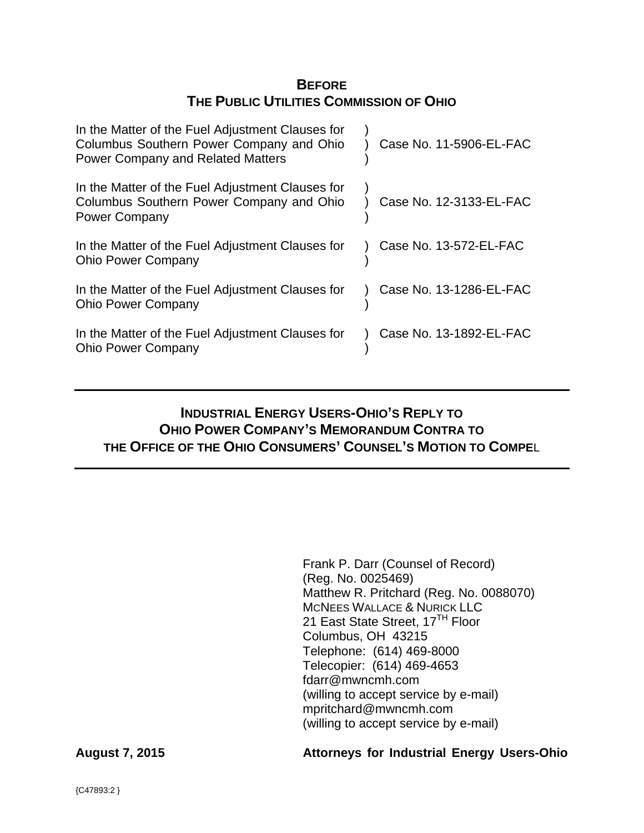# **BEFORE THE PUBLIC UTILITIES COMMISSION OF OHIO**

| In the Matter of the Fuel Adjustment Clauses for<br>Columbus Southern Power Company and Ohio<br><b>Power Company and Related Matters</b> | Case No. 11-5906-EL-FAC |
|------------------------------------------------------------------------------------------------------------------------------------------|-------------------------|
| In the Matter of the Fuel Adjustment Clauses for<br>Columbus Southern Power Company and Ohio<br><b>Power Company</b>                     | Case No. 12-3133-EL-FAC |
| In the Matter of the Fuel Adjustment Clauses for<br><b>Ohio Power Company</b>                                                            | Case No. 13-572-EL-FAC  |
| In the Matter of the Fuel Adjustment Clauses for<br><b>Ohio Power Company</b>                                                            | Case No. 13-1286-EL-FAC |
| In the Matter of the Fuel Adjustment Clauses for<br><b>Ohio Power Company</b>                                                            | Case No. 13-1892-EL-FAC |

# **INDUSTRIAL ENERGY USERS-OHIO'S REPLY TO OHIO POWER COMPANY'S MEMORANDUM CONTRA TO THE OFFICE OF THE OHIO CONSUMERS' COUNSEL'S MOTION TO COMPE**L

Frank P. Darr (Counsel of Record) (Reg. No. 0025469) Matthew R. Pritchard (Reg. No. 0088070) MCNEES WALLACE & NURICK LLC 21 East State Street, 17<sup>TH</sup> Floor Columbus, OH 43215 Telephone: (614) 469-8000 Telecopier: (614) 469-4653 fdarr@mwncmh.com (willing to accept service by e-mail) mpritchard@mwncmh.com (willing to accept service by e-mail)

# **August 7, 2015 Attorneys for Industrial Energy Users-Ohio**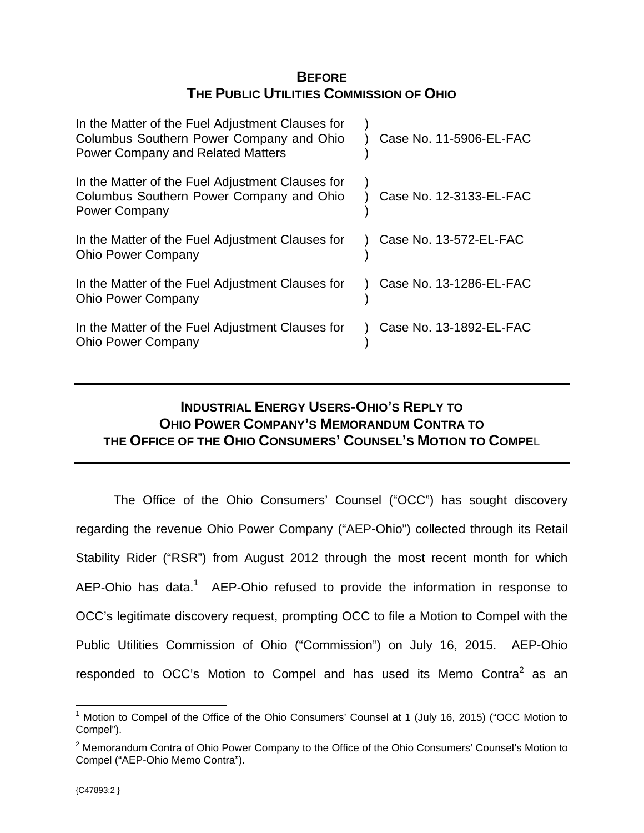# **BEFORE THE PUBLIC UTILITIES COMMISSION OF OHIO**

| In the Matter of the Fuel Adjustment Clauses for<br>Columbus Southern Power Company and Ohio<br><b>Power Company and Related Matters</b> | Case No. 11-5906-EL-FAC |
|------------------------------------------------------------------------------------------------------------------------------------------|-------------------------|
| In the Matter of the Fuel Adjustment Clauses for<br>Columbus Southern Power Company and Ohio<br><b>Power Company</b>                     | Case No. 12-3133-EL-FAC |
| In the Matter of the Fuel Adjustment Clauses for<br><b>Ohio Power Company</b>                                                            | Case No. 13-572-EL-FAC  |
| In the Matter of the Fuel Adjustment Clauses for<br><b>Ohio Power Company</b>                                                            | Case No. 13-1286-EL-FAC |
| In the Matter of the Fuel Adjustment Clauses for<br><b>Ohio Power Company</b>                                                            | Case No. 13-1892-EL-FAC |

# **INDUSTRIAL ENERGY USERS-OHIO'S REPLY TO OHIO POWER COMPANY'S MEMORANDUM CONTRA TO THE OFFICE OF THE OHIO CONSUMERS' COUNSEL'S MOTION TO COMPE**L

 The Office of the Ohio Consumers' Counsel ("OCC") has sought discovery regarding the revenue Ohio Power Company ("AEP-Ohio") collected through its Retail Stability Rider ("RSR") from August 2012 through the most recent month for which AEP-Ohio has data.<sup>1</sup> AEP-Ohio refused to provide the information in response to OCC's legitimate discovery request, prompting OCC to file a Motion to Compel with the Public Utilities Commission of Ohio ("Commission") on July 16, 2015. AEP-Ohio responded to OCC's Motion to Compel and has used its Memo Contra<sup>2</sup> as an

 $\overline{a}$ <sup>1</sup> Motion to Compel of the Office of the Ohio Consumers' Counsel at 1 (July 16, 2015) ("OCC Motion to Compel").

 $2$  Memorandum Contra of Ohio Power Company to the Office of the Ohio Consumers' Counsel's Motion to Compel ("AEP-Ohio Memo Contra").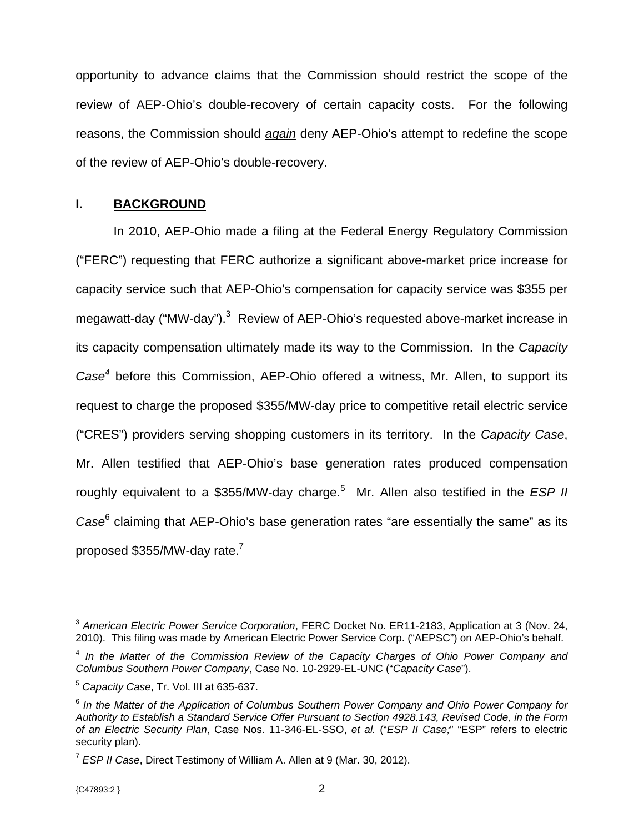opportunity to advance claims that the Commission should restrict the scope of the review of AEP-Ohio's double-recovery of certain capacity costs. For the following reasons, the Commission should *again* deny AEP-Ohio's attempt to redefine the scope of the review of AEP-Ohio's double-recovery.

# **I. BACKGROUND**

 In 2010, AEP-Ohio made a filing at the Federal Energy Regulatory Commission ("FERC") requesting that FERC authorize a significant above-market price increase for capacity service such that AEP-Ohio's compensation for capacity service was \$355 per megawatt-day ("MW-day").<sup>3</sup> Review of AEP-Ohio's requested above-market increase in its capacity compensation ultimately made its way to the Commission. In the *Capacity Case<sup>4</sup>* before this Commission, AEP-Ohio offered a witness, Mr. Allen, to support its request to charge the proposed \$355/MW-day price to competitive retail electric service ("CRES") providers serving shopping customers in its territory. In the *Capacity Case*, Mr. Allen testified that AEP-Ohio's base generation rates produced compensation roughly equivalent to a \$355/MW-day charge.<sup>5</sup> Mr. Allen also testified in the *ESP II Case*<sup>6</sup> claiming that AEP-Ohio's base generation rates "are essentially the same" as its proposed \$355/MW-day rate. $^7$ 

<sup>1</sup> <sup>3</sup> *American Electric Power Service Corporation*, FERC Docket No. ER11-2183, Application at 3 (Nov. 24, 2010). This filing was made by American Electric Power Service Corp. ("AEPSC") on AEP-Ohio's behalf.

<sup>4</sup> *In the Matter of the Commission Review of the Capacity Charges of Ohio Power Company and Columbus Southern Power Company*, Case No. 10-2929-EL-UNC ("*Capacity Case*").

<sup>5</sup> *Capacity Case*, Tr. Vol. III at 635-637.

<sup>6</sup> *In the Matter of the Application of Columbus Southern Power Company and Ohio Power Company for Authority to Establish a Standard Service Offer Pursuant to Section 4928.143, Revised Code, in the Form of an Electric Security Plan*, Case Nos. 11-346-EL-SSO, *et al.* ("*ESP II Case;*" "ESP" refers to electric security plan).

<sup>7</sup> *ESP II Case*, Direct Testimony of William A. Allen at 9 (Mar. 30, 2012).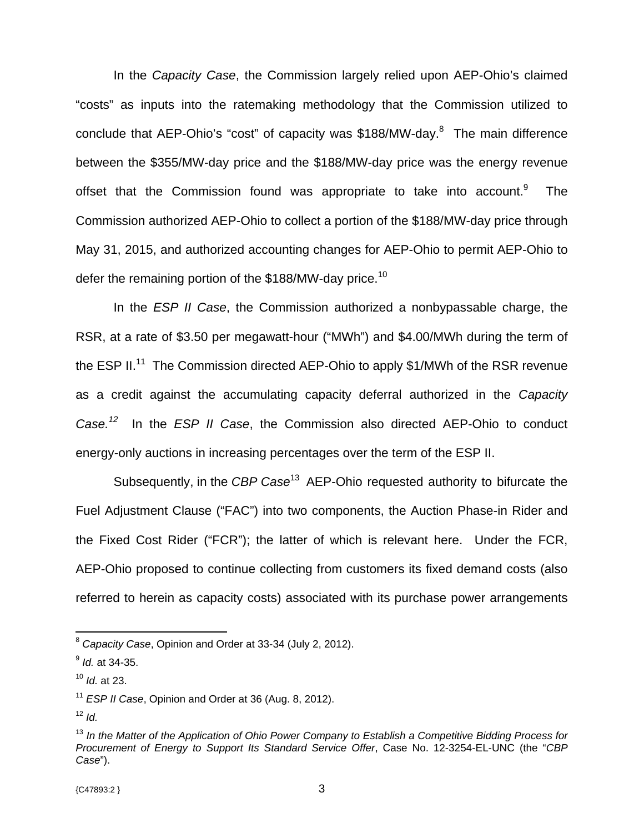In the *Capacity Case*, the Commission largely relied upon AEP-Ohio's claimed "costs" as inputs into the ratemaking methodology that the Commission utilized to conclude that AEP-Ohio's "cost" of capacity was \$188/MW-day.<sup>8</sup> The main difference between the \$355/MW-day price and the \$188/MW-day price was the energy revenue offset that the Commission found was appropriate to take into account.<sup>9</sup> The Commission authorized AEP-Ohio to collect a portion of the \$188/MW-day price through May 31, 2015, and authorized accounting changes for AEP-Ohio to permit AEP-Ohio to defer the remaining portion of the \$188/MW-day price.<sup>10</sup>

 In the *ESP II Case*, the Commission authorized a nonbypassable charge, the RSR, at a rate of \$3.50 per megawatt-hour ("MWh") and \$4.00/MWh during the term of the ESP II.<sup>11</sup> The Commission directed AEP-Ohio to apply \$1/MWh of the RSR revenue as a credit against the accumulating capacity deferral authorized in the *Capacity Case.<sup>12</sup>* In the *ESP II Case*, the Commission also directed AEP-Ohio to conduct energy-only auctions in increasing percentages over the term of the ESP II.

 Subsequently, in the *CBP Case*13 AEP-Ohio requested authority to bifurcate the Fuel Adjustment Clause ("FAC") into two components, the Auction Phase-in Rider and the Fixed Cost Rider ("FCR"); the latter of which is relevant here. Under the FCR, AEP-Ohio proposed to continue collecting from customers its fixed demand costs (also referred to herein as capacity costs) associated with its purchase power arrangements

<sup>8</sup> *Capacity Case*, Opinion and Order at 33-34 (July 2, 2012).

<sup>9</sup> *Id.* at 34-35.

<sup>10</sup> *Id.* at 23.

<sup>11</sup> *ESP II Case*, Opinion and Order at 36 (Aug. 8, 2012).

 $12$  *Id.* 

<sup>13</sup> *In the Matter of the Application of Ohio Power Company to Establish a Competitive Bidding Process for Procurement of Energy to Support Its Standard Service Offer*, Case No. 12-3254-EL-UNC (the "*CBP Case*").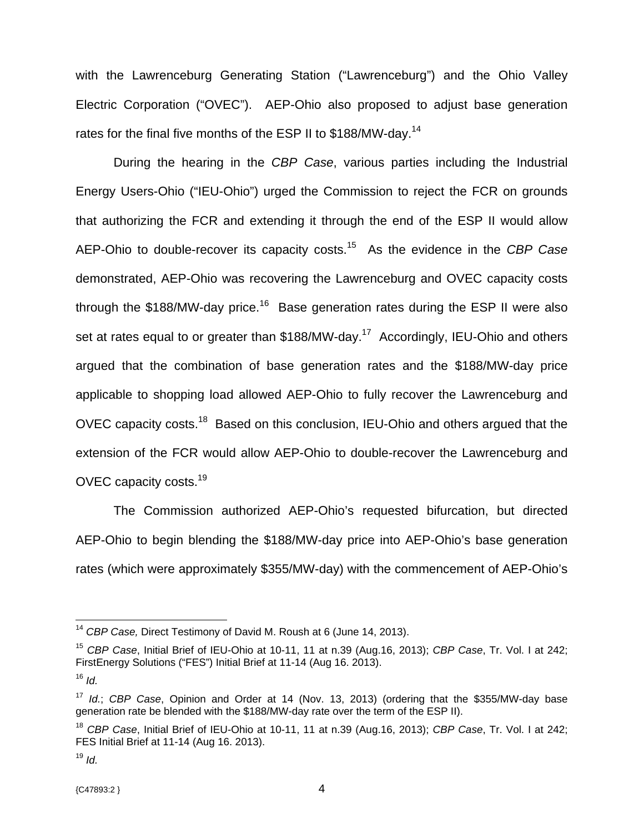with the Lawrenceburg Generating Station ("Lawrenceburg") and the Ohio Valley Electric Corporation ("OVEC"). AEP-Ohio also proposed to adjust base generation rates for the final five months of the ESP II to \$188/MW-day.<sup>14</sup>

 During the hearing in the *CBP Case*, various parties including the Industrial Energy Users-Ohio ("IEU-Ohio") urged the Commission to reject the FCR on grounds that authorizing the FCR and extending it through the end of the ESP II would allow AEP-Ohio to double-recover its capacity costs.15 As the evidence in the *CBP Case* demonstrated, AEP-Ohio was recovering the Lawrenceburg and OVEC capacity costs through the \$188/MW-day price.<sup>16</sup> Base generation rates during the ESP II were also set at rates equal to or greater than \$188/MW-day.<sup>17</sup> Accordingly, IEU-Ohio and others argued that the combination of base generation rates and the \$188/MW-day price applicable to shopping load allowed AEP-Ohio to fully recover the Lawrenceburg and OVEC capacity costs.<sup>18</sup> Based on this conclusion, IEU-Ohio and others argued that the extension of the FCR would allow AEP-Ohio to double-recover the Lawrenceburg and OVEC capacity costs.19

 The Commission authorized AEP-Ohio's requested bifurcation, but directed AEP-Ohio to begin blending the \$188/MW-day price into AEP-Ohio's base generation rates (which were approximately \$355/MW-day) with the commencement of AEP-Ohio's

<sup>14</sup> *CBP Case,* Direct Testimony of David M. Roush at 6 (June 14, 2013).

<sup>15</sup> *CBP Case*, Initial Brief of IEU-Ohio at 10-11, 11 at n.39 (Aug.16, 2013); *CBP Case*, Tr. Vol. I at 242; FirstEnergy Solutions ("FES") Initial Brief at 11-14 (Aug 16. 2013).

 $16$  *Id* 

<sup>17</sup> *Id.*; *CBP Case*, Opinion and Order at 14 (Nov. 13, 2013) (ordering that the \$355/MW-day base generation rate be blended with the \$188/MW-day rate over the term of the ESP II).

<sup>18</sup> *CBP Case*, Initial Brief of IEU-Ohio at 10-11, 11 at n.39 (Aug.16, 2013); *CBP Case*, Tr. Vol. I at 242; FES Initial Brief at 11-14 (Aug 16. 2013).

 $19$  *Id.*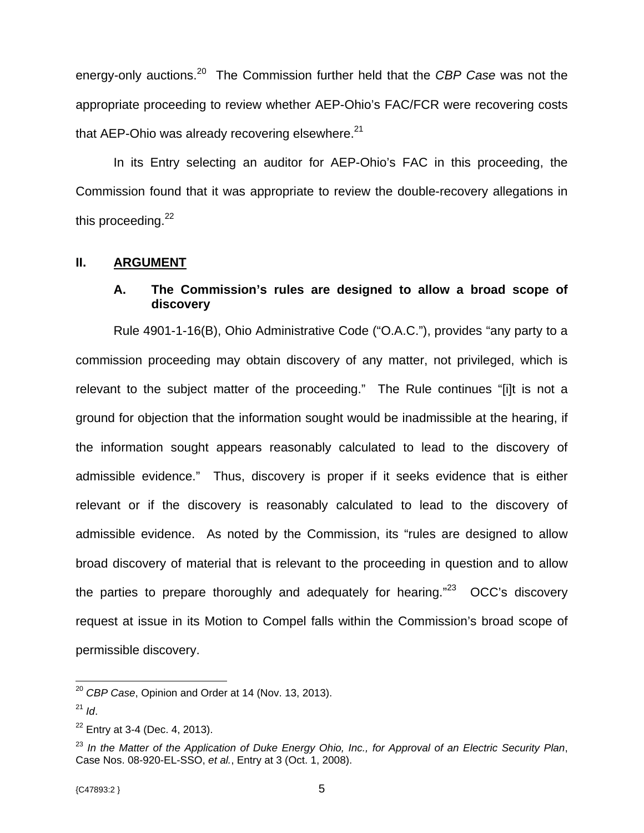energy-only auctions.20 The Commission further held that the *CBP Case* was not the appropriate proceeding to review whether AEP-Ohio's FAC/FCR were recovering costs that AEP-Ohio was already recovering elsewhere. $21$ 

 In its Entry selecting an auditor for AEP-Ohio's FAC in this proceeding, the Commission found that it was appropriate to review the double-recovery allegations in this proceeding. $22$ 

# **II. ARGUMENT**

# **A. The Commission's rules are designed to allow a broad scope of discovery**

 Rule 4901-1-16(B), Ohio Administrative Code ("O.A.C."), provides "any party to a commission proceeding may obtain discovery of any matter, not privileged, which is relevant to the subject matter of the proceeding." The Rule continues "[i]t is not a ground for objection that the information sought would be inadmissible at the hearing, if the information sought appears reasonably calculated to lead to the discovery of admissible evidence." Thus, discovery is proper if it seeks evidence that is either relevant or if the discovery is reasonably calculated to lead to the discovery of admissible evidence. As noted by the Commission, its "rules are designed to allow broad discovery of material that is relevant to the proceeding in question and to allow the parties to prepare thoroughly and adequately for hearing. $123$  OCC's discovery request at issue in its Motion to Compel falls within the Commission's broad scope of permissible discovery.

<sup>20</sup> *CBP Case*, Opinion and Order at 14 (Nov. 13, 2013).

<sup>21</sup> *Id*.

 $22$  Entry at 3-4 (Dec. 4, 2013).

<sup>23</sup> *In the Matter of the Application of Duke Energy Ohio, Inc., for Approval of an Electric Security Plan*, Case Nos. 08-920-EL-SSO, *et al.*, Entry at 3 (Oct. 1, 2008).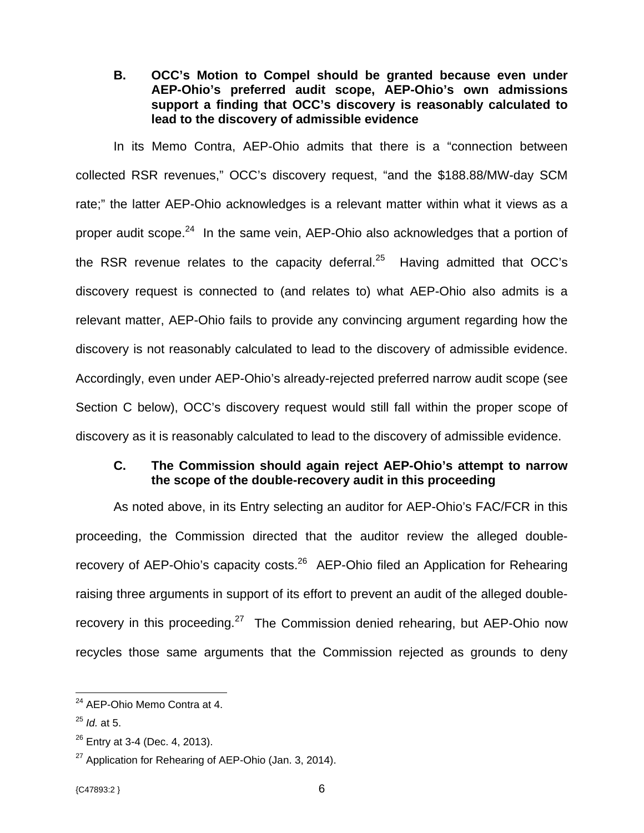**B. OCC's Motion to Compel should be granted because even under AEP-Ohio's preferred audit scope, AEP-Ohio's own admissions support a finding that OCC's discovery is reasonably calculated to lead to the discovery of admissible evidence** 

 In its Memo Contra, AEP-Ohio admits that there is a "connection between collected RSR revenues," OCC's discovery request, "and the \$188.88/MW-day SCM rate;" the latter AEP-Ohio acknowledges is a relevant matter within what it views as a proper audit scope.24 In the same vein, AEP-Ohio also acknowledges that a portion of the RSR revenue relates to the capacity deferral. $^{25}$  Having admitted that OCC's discovery request is connected to (and relates to) what AEP-Ohio also admits is a relevant matter, AEP-Ohio fails to provide any convincing argument regarding how the discovery is not reasonably calculated to lead to the discovery of admissible evidence. Accordingly, even under AEP-Ohio's already-rejected preferred narrow audit scope (see Section C below), OCC's discovery request would still fall within the proper scope of discovery as it is reasonably calculated to lead to the discovery of admissible evidence.

## **C. The Commission should again reject AEP-Ohio's attempt to narrow the scope of the double-recovery audit in this proceeding**

 As noted above, in its Entry selecting an auditor for AEP-Ohio's FAC/FCR in this proceeding, the Commission directed that the auditor review the alleged doublerecovery of AEP-Ohio's capacity costs.<sup>26</sup> AEP-Ohio filed an Application for Rehearing raising three arguments in support of its effort to prevent an audit of the alleged doublerecovery in this proceeding.<sup>27</sup> The Commission denied rehearing, but AEP-Ohio now recycles those same arguments that the Commission rejected as grounds to deny

 $\overline{a}$  $24$  AEP-Ohio Memo Contra at 4.

<sup>25</sup> *Id.* at 5.

 $26$  Entry at 3-4 (Dec. 4, 2013).

 $27$  Application for Rehearing of AEP-Ohio (Jan. 3, 2014).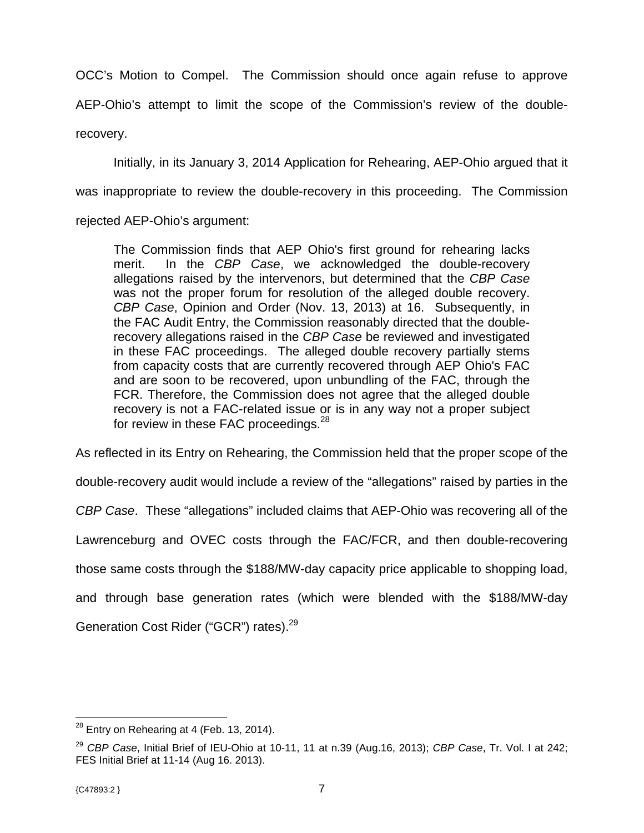OCC's Motion to Compel. The Commission should once again refuse to approve AEP-Ohio's attempt to limit the scope of the Commission's review of the doublerecovery.

 Initially, in its January 3, 2014 Application for Rehearing, AEP-Ohio argued that it was inappropriate to review the double-recovery in this proceeding. The Commission

rejected AEP-Ohio's argument:

The Commission finds that AEP Ohio's first ground for rehearing lacks merit. In the *CBP Case*, we acknowledged the double-recovery allegations raised by the intervenors, but determined that the *CBP Case* was not the proper forum for resolution of the alleged double recovery. *CBP Case*, Opinion and Order (Nov. 13, 2013) at 16. Subsequently, in the FAC Audit Entry, the Commission reasonably directed that the doublerecovery allegations raised in the *CBP Case* be reviewed and investigated in these FAC proceedings. The alleged double recovery partially stems from capacity costs that are currently recovered through AEP Ohio's FAC and are soon to be recovered, upon unbundling of the FAC, through the FCR. Therefore, the Commission does not agree that the alleged double recovery is not a FAC-related issue or is in any way not a proper subject for review in these FAC proceedings.<sup>28</sup>

As reflected in its Entry on Rehearing, the Commission held that the proper scope of the

double-recovery audit would include a review of the "allegations" raised by parties in the

*CBP Case*. These "allegations" included claims that AEP-Ohio was recovering all of the

Lawrenceburg and OVEC costs through the FAC/FCR, and then double-recovering

those same costs through the \$188/MW-day capacity price applicable to shopping load,

and through base generation rates (which were blended with the \$188/MW-day

Generation Cost Rider ("GCR") rates).<sup>29</sup>

 $^{28}$  Entry on Rehearing at 4 (Feb. 13, 2014).

<sup>29</sup> *CBP Case*, Initial Brief of IEU-Ohio at 10-11, 11 at n.39 (Aug.16, 2013); *CBP Case*, Tr. Vol. I at 242; FES Initial Brief at 11-14 (Aug 16. 2013).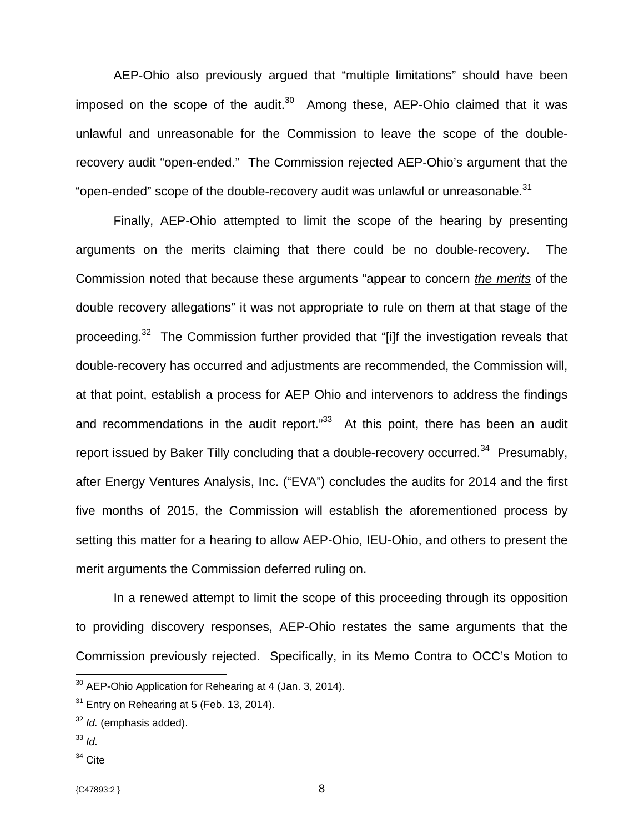AEP-Ohio also previously argued that "multiple limitations" should have been imposed on the scope of the audit. $30$  Among these, AEP-Ohio claimed that it was unlawful and unreasonable for the Commission to leave the scope of the doublerecovery audit "open-ended." The Commission rejected AEP-Ohio's argument that the "open-ended" scope of the double-recovery audit was unlawful or unreasonable. $31$ 

 Finally, AEP-Ohio attempted to limit the scope of the hearing by presenting arguments on the merits claiming that there could be no double-recovery. The Commission noted that because these arguments "appear to concern *the merits* of the double recovery allegations" it was not appropriate to rule on them at that stage of the proceeding.<sup>32</sup> The Commission further provided that "[i]f the investigation reveals that double-recovery has occurred and adjustments are recommended, the Commission will, at that point, establish a process for AEP Ohio and intervenors to address the findings and recommendations in the audit report. $133$  At this point, there has been an audit report issued by Baker Tilly concluding that a double-recovery occurred.<sup>34</sup> Presumably, after Energy Ventures Analysis, Inc. ("EVA") concludes the audits for 2014 and the first five months of 2015, the Commission will establish the aforementioned process by setting this matter for a hearing to allow AEP-Ohio, IEU-Ohio, and others to present the merit arguments the Commission deferred ruling on.

 In a renewed attempt to limit the scope of this proceeding through its opposition to providing discovery responses, AEP-Ohio restates the same arguments that the Commission previously rejected. Specifically, in its Memo Contra to OCC's Motion to

<sup>33</sup> *Id.*

 $\overline{a}$ 

 $34$  Cite

{C47893:2 } 8

 $30$  AEP-Ohio Application for Rehearing at 4 (Jan. 3, 2014).

 $31$  Entry on Rehearing at 5 (Feb. 13, 2014).

<sup>32</sup> *Id.* (emphasis added).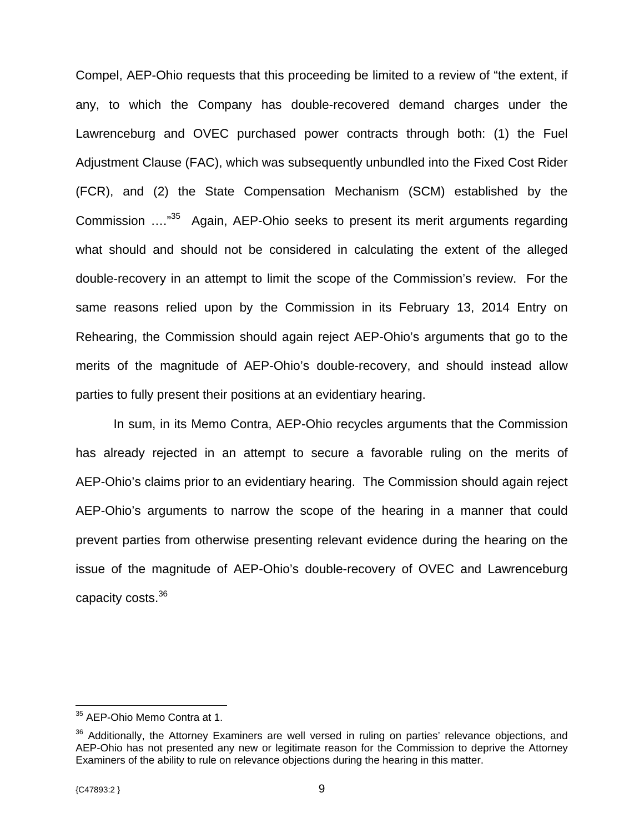Compel, AEP-Ohio requests that this proceeding be limited to a review of "the extent, if any, to which the Company has double-recovered demand charges under the Lawrenceburg and OVEC purchased power contracts through both: (1) the Fuel Adjustment Clause (FAC), which was subsequently unbundled into the Fixed Cost Rider (FCR), and (2) the State Compensation Mechanism (SCM) established by the Commission …."35 Again, AEP-Ohio seeks to present its merit arguments regarding what should and should not be considered in calculating the extent of the alleged double-recovery in an attempt to limit the scope of the Commission's review. For the same reasons relied upon by the Commission in its February 13, 2014 Entry on Rehearing, the Commission should again reject AEP-Ohio's arguments that go to the merits of the magnitude of AEP-Ohio's double-recovery, and should instead allow parties to fully present their positions at an evidentiary hearing.

 In sum, in its Memo Contra, AEP-Ohio recycles arguments that the Commission has already rejected in an attempt to secure a favorable ruling on the merits of AEP-Ohio's claims prior to an evidentiary hearing. The Commission should again reject AEP-Ohio's arguments to narrow the scope of the hearing in a manner that could prevent parties from otherwise presenting relevant evidence during the hearing on the issue of the magnitude of AEP-Ohio's double-recovery of OVEC and Lawrenceburg capacity costs.36

1

<sup>&</sup>lt;sup>35</sup> AEP-Ohio Memo Contra at 1.

<sup>&</sup>lt;sup>36</sup> Additionally, the Attorney Examiners are well versed in ruling on parties' relevance objections, and AEP-Ohio has not presented any new or legitimate reason for the Commission to deprive the Attorney Examiners of the ability to rule on relevance objections during the hearing in this matter.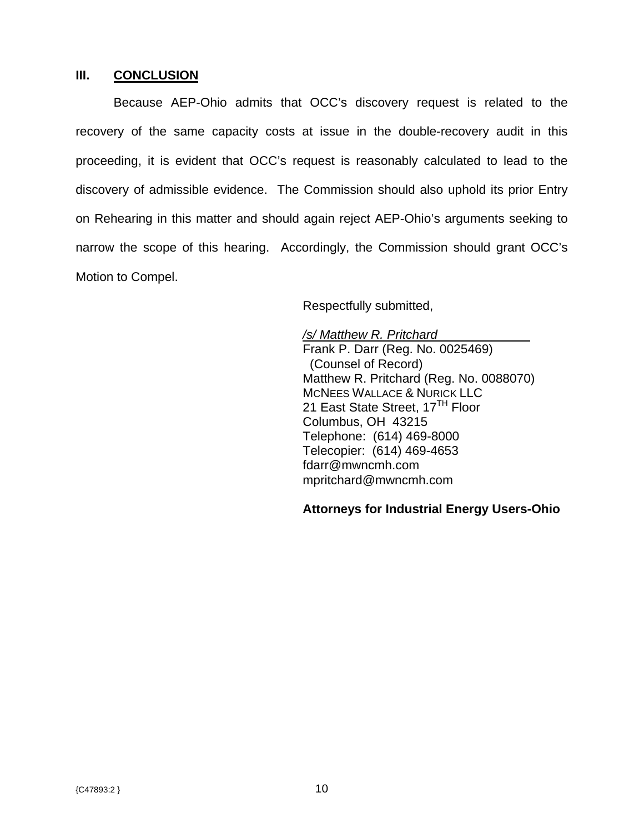## **III. CONCLUSION**

 Because AEP-Ohio admits that OCC's discovery request is related to the recovery of the same capacity costs at issue in the double-recovery audit in this proceeding, it is evident that OCC's request is reasonably calculated to lead to the discovery of admissible evidence. The Commission should also uphold its prior Entry on Rehearing in this matter and should again reject AEP-Ohio's arguments seeking to narrow the scope of this hearing. Accordingly, the Commission should grant OCC's Motion to Compel.

Respectfully submitted,

*/s/ Matthew R. Pritchard*  Frank P. Darr (Reg. No. 0025469) (Counsel of Record) Matthew R. Pritchard (Reg. No. 0088070) MCNEES WALLACE & NURICK LLC 21 East State Street, 17<sup>TH</sup> Floor Columbus, OH 43215 Telephone: (614) 469-8000 Telecopier: (614) 469-4653 fdarr@mwncmh.com mpritchard@mwncmh.com

## **Attorneys for Industrial Energy Users-Ohio**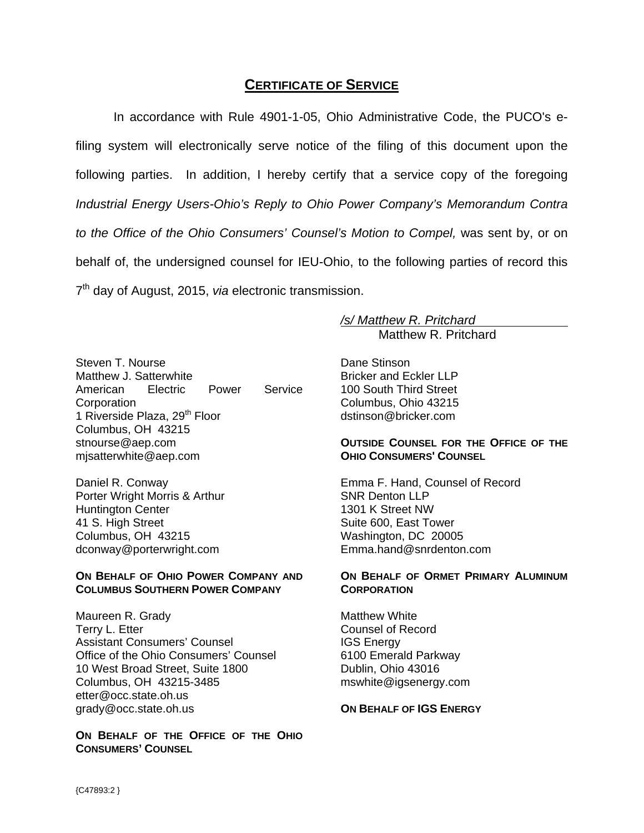# **CERTIFICATE OF SERVICE**

In accordance with Rule 4901-1-05, Ohio Administrative Code, the PUCO's efiling system will electronically serve notice of the filing of this document upon the following parties. In addition, I hereby certify that a service copy of the foregoing *Industrial Energy Users-Ohio's Reply to Ohio Power Company's Memorandum Contra to the Office of the Ohio Consumers' Counsel's Motion to Compel,* was sent by, or on behalf of, the undersigned counsel for IEU-Ohio, to the following parties of record this 7<sup>th</sup> day of August, 2015, *via* electronic transmission.

*/s/ Matthew R. Pritchard* 

Matthew R. Pritchard

Steven T. Nourse Matthew J. Satterwhite American Electric Power Service **Corporation** 1 Riverside Plaza, 29<sup>th</sup> Floor Columbus, OH 43215 stnourse@aep.com mjsatterwhite@aep.com

Daniel R. Conway Porter Wright Morris & Arthur Huntington Center 41 S. High Street Columbus, OH 43215 dconway@porterwright.com

#### **ON BEHALF OF OHIO POWER COMPANY AND COLUMBUS SOUTHERN POWER COMPANY**

Maureen R. Grady Terry L. Etter Assistant Consumers' Counsel Office of the Ohio Consumers' Counsel 10 West Broad Street, Suite 1800 Columbus, OH 43215-3485 etter@occ.state.oh.us grady@occ.state.oh.us

**ON BEHALF OF THE OFFICE OF THE OHIO CONSUMERS' COUNSEL**

Dane Stinson Bricker and Eckler LLP 100 South Third Street Columbus, Ohio 43215 dstinson@bricker.com

#### **OUTSIDE COUNSEL FOR THE OFFICE OF THE OHIO CONSUMERS' COUNSEL**

Emma F. Hand, Counsel of Record SNR Denton LLP 1301 K Street NW Suite 600, East Tower Washington, DC 20005 Emma.hand@snrdenton.com

#### **ON BEHALF OF ORMET PRIMARY ALUMINUM CORPORATION**

Matthew White Counsel of Record IGS Energy 6100 Emerald Parkway Dublin, Ohio 43016 mswhite@igsenergy.com

#### **ON BEHALF OF IGS ENERGY**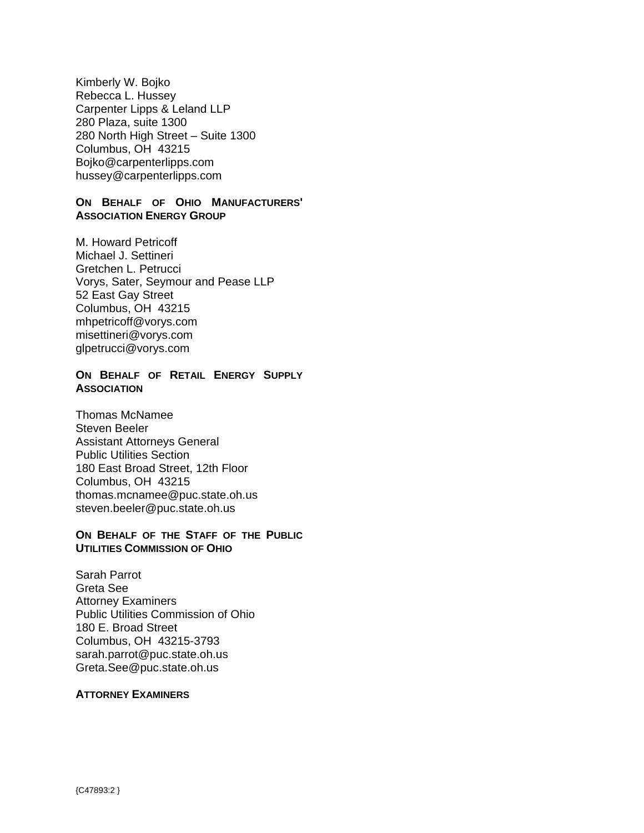Kimberly W. Bojko Rebecca L. Hussey Carpenter Lipps & Leland LLP 280 Plaza, suite 1300 280 North High Street – Suite 1300 Columbus, OH 43215 Bojko@carpenterlipps.com hussey@carpenterlipps.com

#### **ON BEHALF OF OHIO MANUFACTURERS' ASSOCIATION ENERGY GROUP**

M. Howard Petricoff Michael J. Settineri Gretchen L. Petrucci Vorys, Sater, Seymour and Pease LLP 52 East Gay Street Columbus, OH 43215 mhpetricoff@vorys.com misettineri@vorys.com glpetrucci@vorys.com

### **ON BEHALF OF RETAIL ENERGY SUPPLY ASSOCIATION**

Thomas McNamee Steven Beeler Assistant Attorneys General Public Utilities Section 180 East Broad Street, 12th Floor Columbus, OH 43215 thomas.mcnamee@puc.state.oh.us steven.beeler@puc.state.oh.us

#### **ON BEHALF OF THE STAFF OF THE PUBLIC UTILITIES COMMISSION OF OHIO**

Sarah Parrot Greta See Attorney Examiners Public Utilities Commission of Ohio 180 E. Broad Street Columbus, OH 43215-3793 sarah.parrot@puc.state.oh.us Greta.See@puc.state.oh.us

#### **ATTORNEY EXAMINERS**